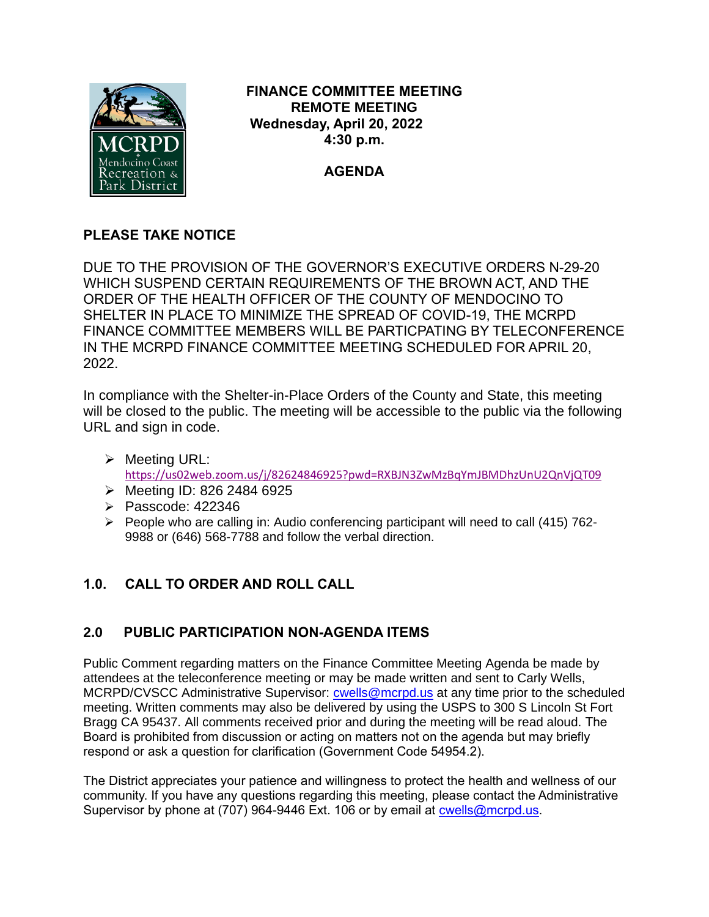

**FINANCE COMMITTEE MEETING REMOTE MEETING Wednesday, April 20, 2022 4:30 p.m.**

**AGENDA**

# **PLEASE TAKE NOTICE**

DUE TO THE PROVISION OF THE GOVERNOR'S EXECUTIVE ORDERS N-29-20 WHICH SUSPEND CERTAIN REQUIREMENTS OF THE BROWN ACT, AND THE ORDER OF THE HEALTH OFFICER OF THE COUNTY OF MENDOCINO TO SHELTER IN PLACE TO MINIMIZE THE SPREAD OF COVID-19, THE MCRPD FINANCE COMMITTEE MEMBERS WILL BE PARTICPATING BY TELECONFERENCE IN THE MCRPD FINANCE COMMITTEE MEETING SCHEDULED FOR APRIL 20, 2022.

In compliance with the Shelter-in-Place Orders of the County and State, this meeting will be closed to the public. The meeting will be accessible to the public via the following URL and sign in code.

- ➢ Meeting URL: <https://us02web.zoom.us/j/82624846925?pwd=RXBJN3ZwMzBqYmJBMDhzUnU2QnVjQT09>
- ➢ Meeting ID: 826 2484 6925
- ➢ Passcode: 422346
- $\triangleright$  People who are calling in: Audio conferencing participant will need to call (415) 762-9988 or (646) 568-7788 and follow the verbal direction.

# **1.0. CALL TO ORDER AND ROLL CALL**

# **2.0 PUBLIC PARTICIPATION NON-AGENDA ITEMS**

Public Comment regarding matters on the Finance Committee Meeting Agenda be made by attendees at the teleconference meeting or may be made written and sent to Carly Wells, MCRPD/CVSCC Administrative Supervisor: [cwells@mcrpd.us](mailto:cwells@mcrpd.us) at any time prior to the scheduled meeting. Written comments may also be delivered by using the USPS to 300 S Lincoln St Fort Bragg CA 95437. All comments received prior and during the meeting will be read aloud. The Board is prohibited from discussion or acting on matters not on the agenda but may briefly respond or ask a question for clarification (Government Code 54954.2).

The District appreciates your patience and willingness to protect the health and wellness of our community. If you have any questions regarding this meeting, please contact the Administrative Supervisor by phone at (707) 964-9446 Ext. 106 or by email at [cwells@mcrpd.us.](mailto:cwells@mcrpd.us)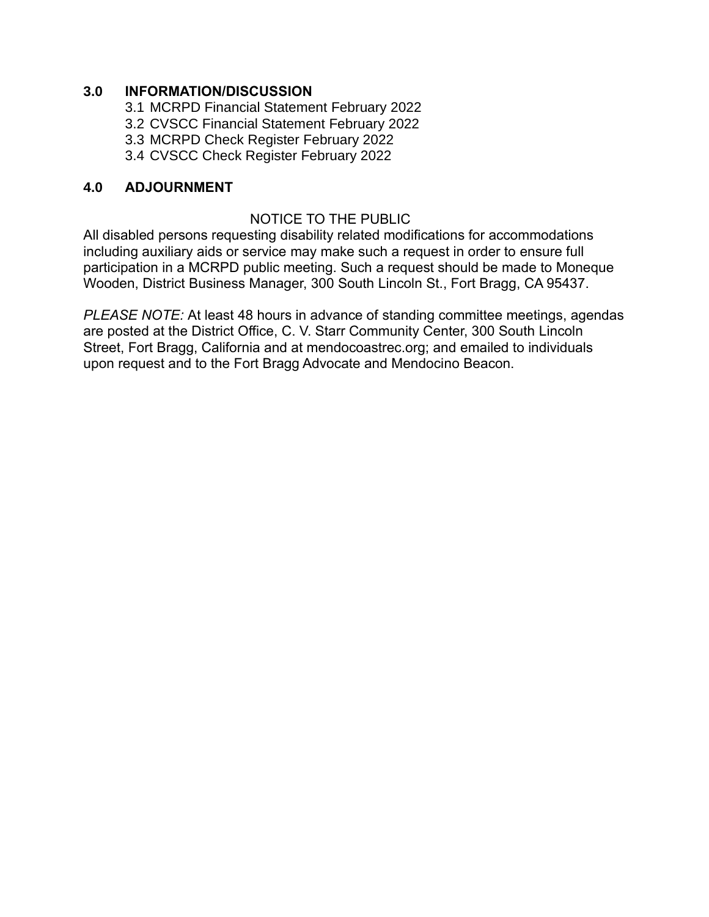# **3.0 INFORMATION/DISCUSSION**

3.1 MCRPD Financial Statement February 2022

- 3.2 CVSCC Financial Statement February 2022
- 3.3 MCRPD Check Register February 2022
- 3.4 CVSCC Check Register February 2022

# **4.0 ADJOURNMENT**

# NOTICE TO THE PUBLIC

All disabled persons requesting disability related modifications for accommodations including auxiliary aids or service may make such a request in order to ensure full participation in a MCRPD public meeting. Such a request should be made to Moneque Wooden, District Business Manager, 300 South Lincoln St., Fort Bragg, CA 95437.

*PLEASE NOTE:* At least 48 hours in advance of standing committee meetings, agendas are posted at the District Office, C. V. Starr Community Center, 300 South Lincoln Street, Fort Bragg, California and at mendocoastrec.org; and emailed to individuals upon request and to the Fort Bragg Advocate and Mendocino Beacon.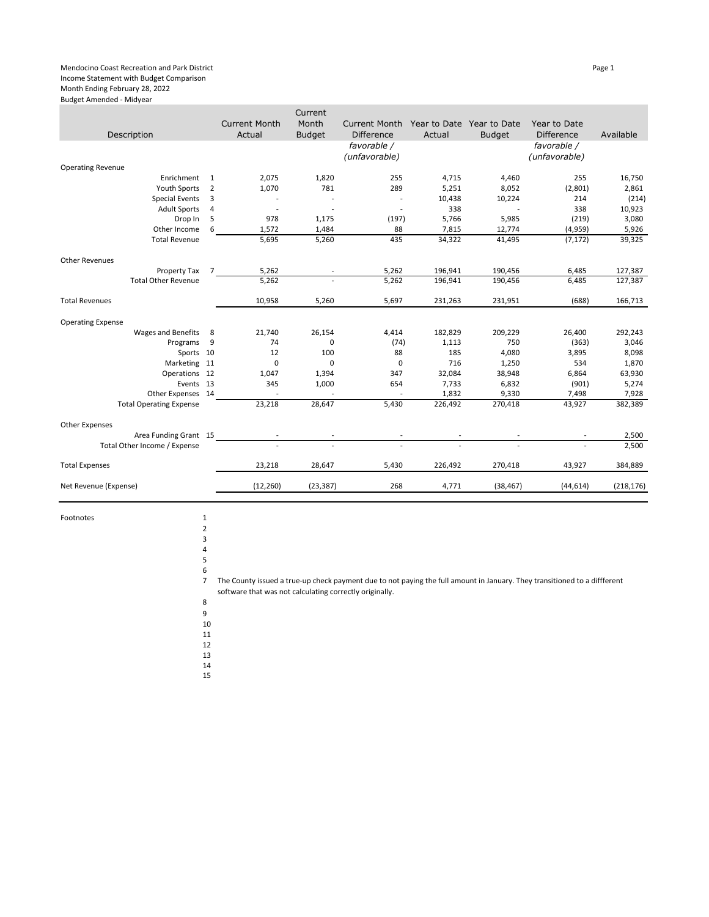#### Mendocino Coast Recreation and Park District Page 1 Income Statement with Budget Comparison Month Ending February 28, 2022

Budget Amended - Midyear

|                                |                |                          | Current       |                      |              |               |                   |            |
|--------------------------------|----------------|--------------------------|---------------|----------------------|--------------|---------------|-------------------|------------|
|                                |                | <b>Current Month</b>     | Month         | <b>Current Month</b> | Year to Date | Year to Date  | Year to Date      |            |
| Description                    |                | Actual                   | <b>Budget</b> | <b>Difference</b>    | Actual       | <b>Budget</b> | <b>Difference</b> | Available  |
|                                |                |                          |               | favorable /          |              |               | favorable /       |            |
|                                |                |                          |               | (unfavorable)        |              |               | (unfavorable)     |            |
| <b>Operating Revenue</b>       |                |                          |               |                      |              |               |                   |            |
| Enrichment                     | 1              | 2,075                    | 1,820         | 255                  | 4,715        | 4,460         | 255               | 16,750     |
| <b>Youth Sports</b>            | 2              | 1,070                    | 781           | 289                  | 5,251        | 8,052         | (2,801)           | 2,861      |
| <b>Special Events</b>          | 3              |                          |               | $\overline{a}$       | 10,438       | 10,224        | 214               | (214)      |
| <b>Adult Sports</b>            | 4              | $\overline{\phantom{a}}$ |               | $\overline{a}$       | 338          |               | 338               | 10,923     |
| Drop In                        | 5              | 978                      | 1,175         | (197)                | 5,766        | 5,985         | (219)             | 3,080      |
| Other Income                   | 6              | 1,572                    | 1,484         | 88                   | 7,815        | 12,774        | (4,959)           | 5,926      |
| <b>Total Revenue</b>           |                | 5,695                    | 5,260         | 435                  | 34,322       | 41,495        | (7, 172)          | 39,325     |
|                                |                |                          |               |                      |              |               |                   |            |
| Other Revenues                 |                |                          |               |                      |              |               |                   |            |
| Property Tax                   | $\overline{7}$ | 5,262                    |               | 5,262                | 196,941      | 190,456       | 6,485             | 127,387    |
| <b>Total Other Revenue</b>     |                | 5,262                    |               | 5,262                | 196,941      | 190,456       | 6,485             | 127,387    |
| <b>Total Revenues</b>          |                | 10,958                   | 5,260         | 5,697                | 231,263      | 231,951       | (688)             | 166,713    |
|                                |                |                          |               |                      |              |               |                   |            |
| <b>Operating Expense</b>       |                |                          |               |                      |              |               |                   |            |
| Wages and Benefits             | 8              | 21,740                   | 26,154        | 4,414                | 182,829      | 209,229       | 26,400            | 292,243    |
| Programs                       | 9              | 74                       | 0             | (74)                 | 1,113        | 750           | (363)             | 3,046      |
| Sports 10                      |                | 12                       | 100           | 88                   | 185          | 4,080         | 3,895             | 8,098      |
| Marketing 11                   |                | 0                        | 0             | $\mathbf 0$          | 716          | 1,250         | 534               | 1,870      |
| Operations 12                  |                | 1,047                    | 1,394         | 347                  | 32,084       | 38,948        | 6,864             | 63,930     |
| Events 13                      |                | 345                      | 1,000         | 654                  | 7,733        | 6,832         | (901)             | 5,274      |
| Other Expenses 14              |                |                          |               |                      | 1,832        | 9,330         | 7,498             | 7,928      |
| <b>Total Operating Expense</b> |                | 23,218                   | 28,647        | 5,430                | 226,492      | 270,418       | 43,927            | 382,389    |
| <b>Other Expenses</b>          |                |                          |               |                      |              |               |                   |            |
| Area Funding Grant 15          |                |                          |               |                      |              |               |                   | 2,500      |
| Total Other Income / Expense   |                |                          |               |                      |              |               |                   | 2,500      |
| <b>Total Expenses</b>          |                | 23,218                   | 28,647        | 5,430                | 226,492      | 270,418       | 43,927            | 384,889    |
| Net Revenue (Expense)          |                | (12, 260)                | (23, 387)     | 268                  | 4,771        | (38, 467)     | (44, 614)         | (218, 176) |
|                                |                |                          |               |                      |              |               |                   |            |

Footnotes 1

2

7 The County issued a true-up check payment due to not paying the full amount in January. They transitioned to a diffferent software that was not calculating correctly originally.

8 9 10

11

12

13 14

15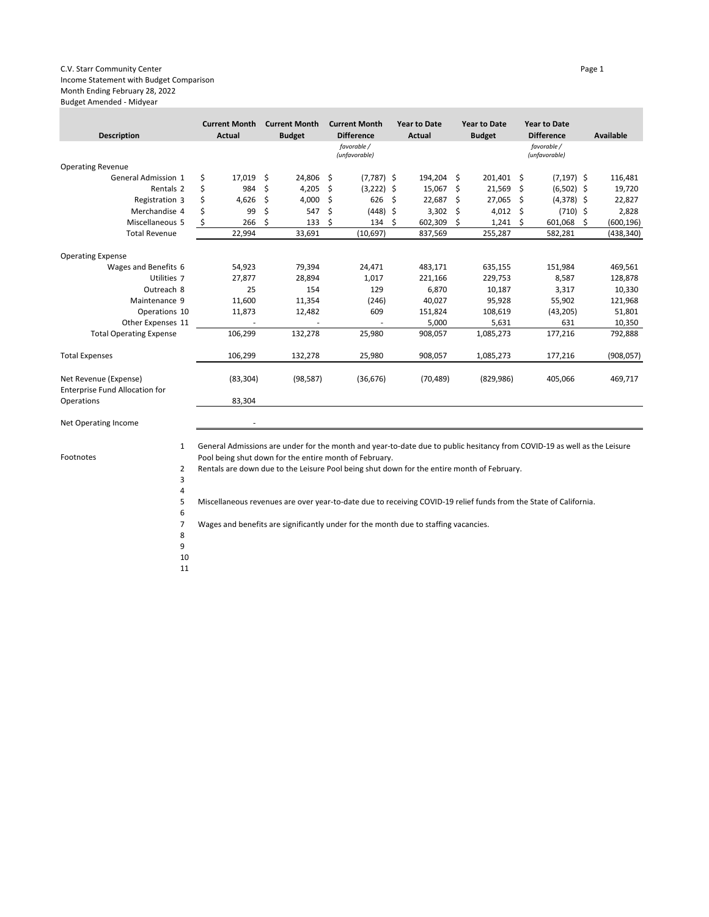#### C.V. Starr Community Center **Page 1** and the community Center **Page 1** and the community Center **Page 1** Income Statement with Budget Comparison Month Ending February 28, 2022 Budget Amended - Midyear

| <b>Description</b>                                      |    | <b>Current Month</b><br>Actual |    | <b>Current Month</b><br><b>Budget</b> |    | <b>Current Month</b><br><b>Difference</b> |     | <b>Year to Date</b><br>Actual |    | <b>Year to Date</b><br><b>Budget</b> |     | <b>Year to Date</b><br><b>Difference</b> |   | Available  |
|---------------------------------------------------------|----|--------------------------------|----|---------------------------------------|----|-------------------------------------------|-----|-------------------------------|----|--------------------------------------|-----|------------------------------------------|---|------------|
|                                                         |    |                                |    |                                       |    | favorable /<br>(unfavorable)              |     |                               |    |                                      |     | favorable /<br>(unfavorable)             |   |            |
| <b>Operating Revenue</b>                                |    |                                |    |                                       |    |                                           |     |                               |    |                                      |     |                                          |   |            |
| General Admission 1                                     | \$ | 17,019                         | Ŝ. | 24,806 \$                             |    | $(7,787)$ \$                              |     | 194,204 \$                    |    | 201,401                              | -\$ | $(7, 197)$ \$                            |   | 116,481    |
| Rentals <sub>2</sub>                                    | \$ | 984                            | \$ | 4,205                                 | \$ | $(3,222)$ \$                              |     | 15,067                        | \$ | 21,569                               | \$  | $(6,502)$ \$                             |   | 19,720     |
| Registration 3                                          | Ś  | 4,626                          | \$ | 4,000                                 | \$ | 626                                       | \$. | 22,687                        | Ŝ. | 27,065                               | Ś.  | $(4,378)$ \$                             |   | 22,827     |
| Merchandise 4                                           | Ś  | 99                             | Ś  | 547                                   | Ś  | $(448)$ \$                                |     | 3,302                         | Ŝ. | 4,012                                | Ŝ.  | $(710)$ \$                               |   | 2,828      |
| Miscellaneous 5                                         | \$ | 266                            | \$ | 133                                   | \$ | 134                                       | -S  | 602,309                       | \$ | 1,241                                | \$. | 601,068                                  | Ŝ | (600, 196) |
| <b>Total Revenue</b>                                    |    | 22,994                         |    | 33,691                                |    | (10,697)                                  |     | 837,569                       |    | 255,287                              |     | 582,281                                  |   | (438, 340) |
| <b>Operating Expense</b>                                |    |                                |    |                                       |    |                                           |     |                               |    |                                      |     |                                          |   |            |
| Wages and Benefits 6                                    |    | 54,923                         |    | 79,394                                |    | 24,471                                    |     | 483,171                       |    | 635,155                              |     | 151,984                                  |   | 469,561    |
| Utilities 7                                             |    | 27.877                         |    | 28,894                                |    | 1,017                                     |     | 221,166                       |    | 229,753                              |     | 8,587                                    |   | 128,878    |
| Outreach 8                                              |    | 25                             |    | 154                                   |    | 129                                       |     | 6,870                         |    | 10,187                               |     | 3,317                                    |   | 10,330     |
| Maintenance 9                                           |    | 11,600                         |    | 11,354                                |    | (246)                                     |     | 40,027                        |    | 95,928                               |     | 55,902                                   |   | 121,968    |
| Operations 10                                           |    | 11,873                         |    | 12,482                                |    | 609                                       |     | 151,824                       |    | 108,619                              |     | (43, 205)                                |   | 51,801     |
| Other Expenses 11                                       |    |                                |    |                                       |    | $\sim$                                    |     | 5,000                         |    | 5,631                                |     | 631                                      |   | 10,350     |
| <b>Total Operating Expense</b>                          |    | 106,299                        |    | 132,278                               |    | 25,980                                    |     | 908,057                       |    | 1,085,273                            |     | 177,216                                  |   | 792,888    |
| <b>Total Expenses</b>                                   |    | 106,299                        |    | 132,278                               |    | 25,980                                    |     | 908,057                       |    | 1,085,273                            |     | 177,216                                  |   | (908, 057) |
| Net Revenue (Expense)<br>Enterprise Fund Allocation for |    | (83, 304)                      |    | (98, 587)                             |    | (36, 676)                                 |     | (70, 489)                     |    | (829, 986)                           |     | 405,066                                  |   | 469,717    |
| Operations                                              |    | 83,304                         |    |                                       |    |                                           |     |                               |    |                                      |     |                                          |   |            |

Net Operating Income

Footnotes

1 General Admissions are under for the month and year-to-date due to public hesitancy from COVID-19 as well as the Leisure Pool being shut down for the entire month of February.

Rentals are down due to the Leisure Pool being shut down for the entire month of February.

4 5 Miscellaneous revenues are over year-to-date due to receiving COVID-19 relief funds from the State of California.

7 Wages and benefits are significantly under for the month due to staffing vacancies.

8 9

6

2 3

- 10
- 11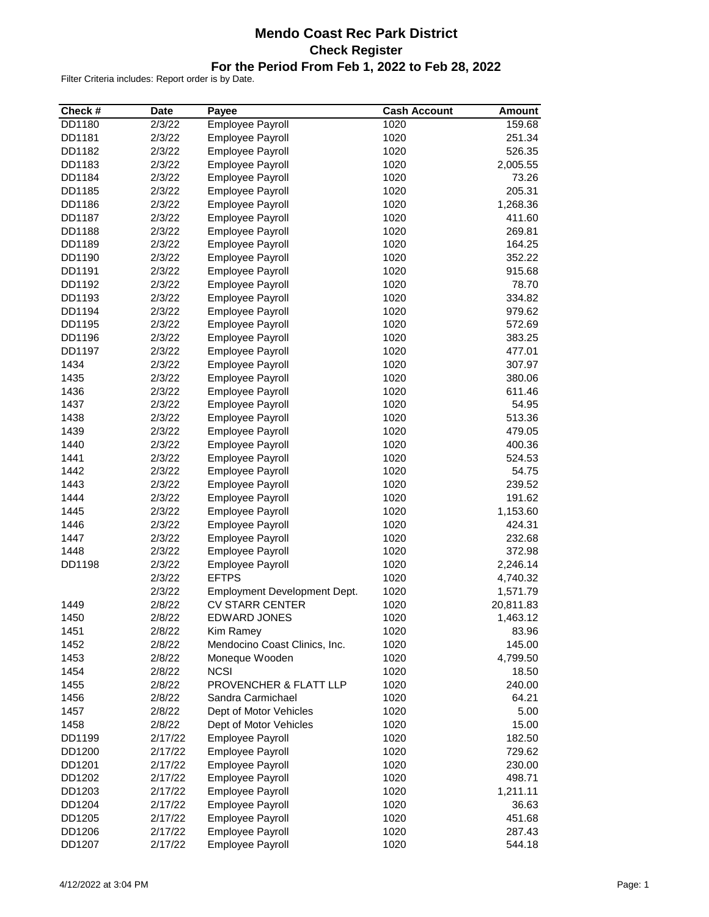# **Mendo Coast Rec Park District Check Register For the Period From Feb 1, 2022 to Feb 28, 2022**

| Check # | <b>Date</b> | Payee                         | <b>Cash Account</b> | <b>Amount</b> |
|---------|-------------|-------------------------------|---------------------|---------------|
| DD1180  | 2/3/22      | Employee Payroll              | 1020                | 159.68        |
| DD1181  | 2/3/22      | <b>Employee Payroll</b>       | 1020                | 251.34        |
| DD1182  | 2/3/22      | <b>Employee Payroll</b>       | 1020                | 526.35        |
| DD1183  | 2/3/22      | <b>Employee Payroll</b>       | 1020                | 2,005.55      |
| DD1184  | 2/3/22      | <b>Employee Payroll</b>       | 1020                | 73.26         |
| DD1185  | 2/3/22      | <b>Employee Payroll</b>       | 1020                | 205.31        |
| DD1186  | 2/3/22      | Employee Payroll              | 1020                | 1,268.36      |
| DD1187  | 2/3/22      | Employee Payroll              | 1020                | 411.60        |
| DD1188  | 2/3/22      | Employee Payroll              | 1020                | 269.81        |
| DD1189  | 2/3/22      | Employee Payroll              | 1020                | 164.25        |
| DD1190  | 2/3/22      | Employee Payroll              | 1020                | 352.22        |
| DD1191  | 2/3/22      | <b>Employee Payroll</b>       | 1020                | 915.68        |
| DD1192  | 2/3/22      | Employee Payroll              | 1020                | 78.70         |
| DD1193  | 2/3/22      | Employee Payroll              | 1020                | 334.82        |
| DD1194  | 2/3/22      | <b>Employee Payroll</b>       | 1020                | 979.62        |
| DD1195  | 2/3/22      | Employee Payroll              | 1020                | 572.69        |
| DD1196  | 2/3/22      | <b>Employee Payroll</b>       | 1020                | 383.25        |
| DD1197  | 2/3/22      | <b>Employee Payroll</b>       | 1020                | 477.01        |
| 1434    | 2/3/22      | Employee Payroll              | 1020                | 307.97        |
|         |             |                               |                     |               |
| 1435    | 2/3/22      | Employee Payroll              | 1020                | 380.06        |
| 1436    | 2/3/22      | Employee Payroll              | 1020                | 611.46        |
| 1437    | 2/3/22      | Employee Payroll              | 1020                | 54.95         |
| 1438    | 2/3/22      | Employee Payroll              | 1020                | 513.36        |
| 1439    | 2/3/22      | Employee Payroll              | 1020                | 479.05        |
| 1440    | 2/3/22      | Employee Payroll              | 1020                | 400.36        |
| 1441    | 2/3/22      | <b>Employee Payroll</b>       | 1020                | 524.53        |
| 1442    | 2/3/22      | <b>Employee Payroll</b>       | 1020                | 54.75         |
| 1443    | 2/3/22      | <b>Employee Payroll</b>       | 1020                | 239.52        |
| 1444    | 2/3/22      | <b>Employee Payroll</b>       | 1020                | 191.62        |
| 1445    | 2/3/22      | <b>Employee Payroll</b>       | 1020                | 1,153.60      |
| 1446    | 2/3/22      | <b>Employee Payroll</b>       | 1020                | 424.31        |
| 1447    | 2/3/22      | Employee Payroll              | 1020                | 232.68        |
| 1448    | 2/3/22      | Employee Payroll              | 1020                | 372.98        |
| DD1198  | 2/3/22      | Employee Payroll              | 1020                | 2,246.14      |
|         | 2/3/22      | <b>EFTPS</b>                  | 1020                | 4,740.32      |
|         | 2/3/22      | Employment Development Dept.  | 1020                | 1,571.79      |
| 1449    | 2/8/22      | <b>CV STARR CENTER</b>        | 1020                | 20,811.83     |
| 1450    | 2/8/22      | <b>EDWARD JONES</b>           | 1020                | 1,463.12      |
| 1451    | 2/8/22      | Kim Ramey                     | 1020                | 83.96         |
| 1452    | 2/8/22      | Mendocino Coast Clinics, Inc. | 1020                | 145.00        |
| 1453    | 2/8/22      | Moneque Wooden                | 1020                | 4,799.50      |
| 1454    | 2/8/22      | <b>NCSI</b>                   | 1020                | 18.50         |
| 1455    | 2/8/22      | PROVENCHER & FLATT LLP        | 1020                | 240.00        |
| 1456    | 2/8/22      | Sandra Carmichael             | 1020                | 64.21         |
| 1457    | 2/8/22      | Dept of Motor Vehicles        | 1020                | 5.00          |
| 1458    | 2/8/22      | Dept of Motor Vehicles        | 1020                | 15.00         |
| DD1199  | 2/17/22     | <b>Employee Payroll</b>       | 1020                | 182.50        |
| DD1200  | 2/17/22     | <b>Employee Payroll</b>       | 1020                | 729.62        |
|         |             |                               |                     |               |
| DD1201  | 2/17/22     | Employee Payroll              | 1020                | 230.00        |
| DD1202  | 2/17/22     | Employee Payroll              | 1020                | 498.71        |
| DD1203  | 2/17/22     | <b>Employee Payroll</b>       | 1020                | 1,211.11      |
| DD1204  | 2/17/22     | Employee Payroll              | 1020                | 36.63         |
| DD1205  | 2/17/22     | Employee Payroll              | 1020                | 451.68        |
| DD1206  | 2/17/22     | Employee Payroll              | 1020                | 287.43        |
| DD1207  | 2/17/22     | Employee Payroll              | 1020                | 544.18        |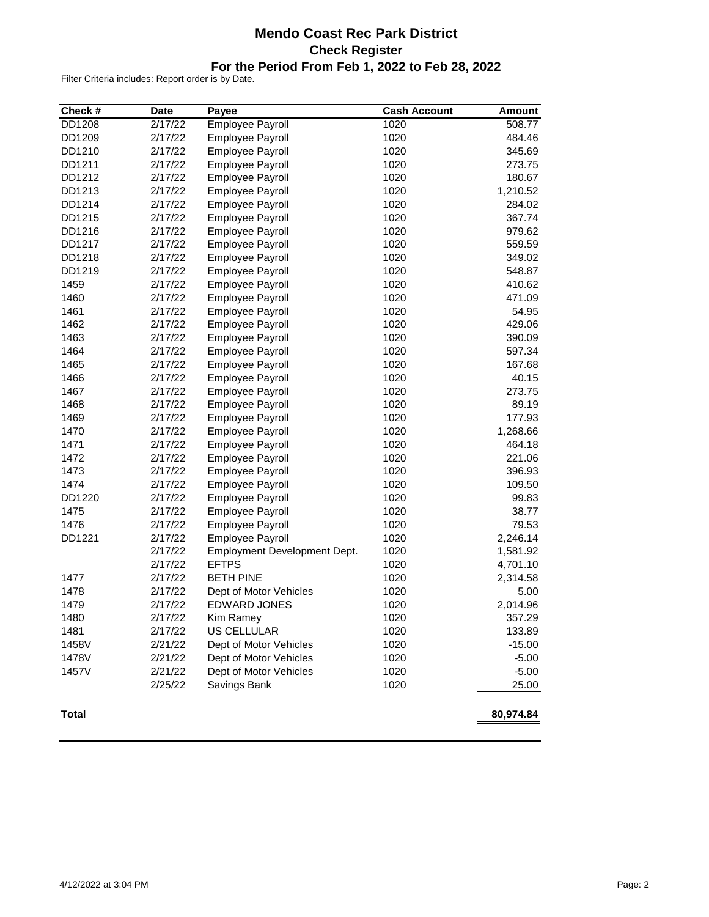# **Mendo Coast Rec Park District Check Register For the Period From Feb 1, 2022 to Feb 28, 2022**

| Check #      | <b>Date</b> | Payee                        | <b>Cash Account</b> | <b>Amount</b> |
|--------------|-------------|------------------------------|---------------------|---------------|
| DD1208       | 2/17/22     | <b>Employee Payroll</b>      | 1020                | 508.77        |
| DD1209       | 2/17/22     | <b>Employee Payroll</b>      | 1020                | 484.46        |
| DD1210       | 2/17/22     | Employee Payroll             | 1020                | 345.69        |
| DD1211       | 2/17/22     | <b>Employee Payroll</b>      | 1020                | 273.75        |
| DD1212       | 2/17/22     | Employee Payroll             | 1020                | 180.67        |
| DD1213       | 2/17/22     | Employee Payroll             | 1020                | 1,210.52      |
| DD1214       | 2/17/22     | Employee Payroll             | 1020                | 284.02        |
| DD1215       | 2/17/22     | Employee Payroll             | 1020                | 367.74        |
| DD1216       | 2/17/22     | Employee Payroll             | 1020                | 979.62        |
| DD1217       | 2/17/22     | Employee Payroll             | 1020                | 559.59        |
| DD1218       | 2/17/22     | Employee Payroll             | 1020                | 349.02        |
| DD1219       | 2/17/22     | <b>Employee Payroll</b>      | 1020                | 548.87        |
| 1459         | 2/17/22     | Employee Payroll             | 1020                | 410.62        |
| 1460         | 2/17/22     | Employee Payroll             | 1020                | 471.09        |
| 1461         | 2/17/22     | Employee Payroll             | 1020                | 54.95         |
| 1462         | 2/17/22     | Employee Payroll             | 1020                | 429.06        |
| 1463         | 2/17/22     | Employee Payroll             | 1020                | 390.09        |
| 1464         | 2/17/22     | Employee Payroll             | 1020                | 597.34        |
| 1465         | 2/17/22     | Employee Payroll             | 1020                | 167.68        |
| 1466         | 2/17/22     | Employee Payroll             | 1020                | 40.15         |
| 1467         | 2/17/22     | Employee Payroll             | 1020                | 273.75        |
| 1468         | 2/17/22     | <b>Employee Payroll</b>      | 1020                | 89.19         |
| 1469         | 2/17/22     | Employee Payroll             | 1020                | 177.93        |
| 1470         | 2/17/22     | Employee Payroll             | 1020                | 1,268.66      |
| 1471         | 2/17/22     | Employee Payroll             | 1020                | 464.18        |
| 1472         | 2/17/22     | Employee Payroll             | 1020                | 221.06        |
| 1473         | 2/17/22     | Employee Payroll             | 1020                | 396.93        |
| 1474         | 2/17/22     | Employee Payroll             | 1020                | 109.50        |
| DD1220       | 2/17/22     | Employee Payroll             | 1020                | 99.83         |
| 1475         | 2/17/22     | Employee Payroll             | 1020                | 38.77         |
| 1476         | 2/17/22     | Employee Payroll             | 1020                | 79.53         |
| DD1221       | 2/17/22     | Employee Payroll             | 1020                | 2,246.14      |
|              | 2/17/22     | Employment Development Dept. | 1020                | 1,581.92      |
|              | 2/17/22     | <b>EFTPS</b>                 | 1020                | 4,701.10      |
| 1477         | 2/17/22     | <b>BETH PINE</b>             | 1020                | 2,314.58      |
| 1478         | 2/17/22     | Dept of Motor Vehicles       | 1020                | 5.00          |
| 1479         | 2/17/22     | <b>EDWARD JONES</b>          | 1020                | 2,014.96      |
| 1480         | 2/17/22     | Kim Ramey                    | 1020                | 357.29        |
| 1481         | 2/17/22     | US CELLULAR                  | 1020                | 133.89        |
| 1458V        | 2/21/22     | Dept of Motor Vehicles       | 1020                | $-15.00$      |
| 1478V        | 2/21/22     | Dept of Motor Vehicles       | 1020                | $-5.00$       |
| 1457V        | 2/21/22     | Dept of Motor Vehicles       | 1020                | $-5.00$       |
|              | 2/25/22     | Savings Bank                 | 1020                | 25.00         |
| <b>Total</b> |             |                              |                     | 80,974.84     |
|              |             |                              |                     |               |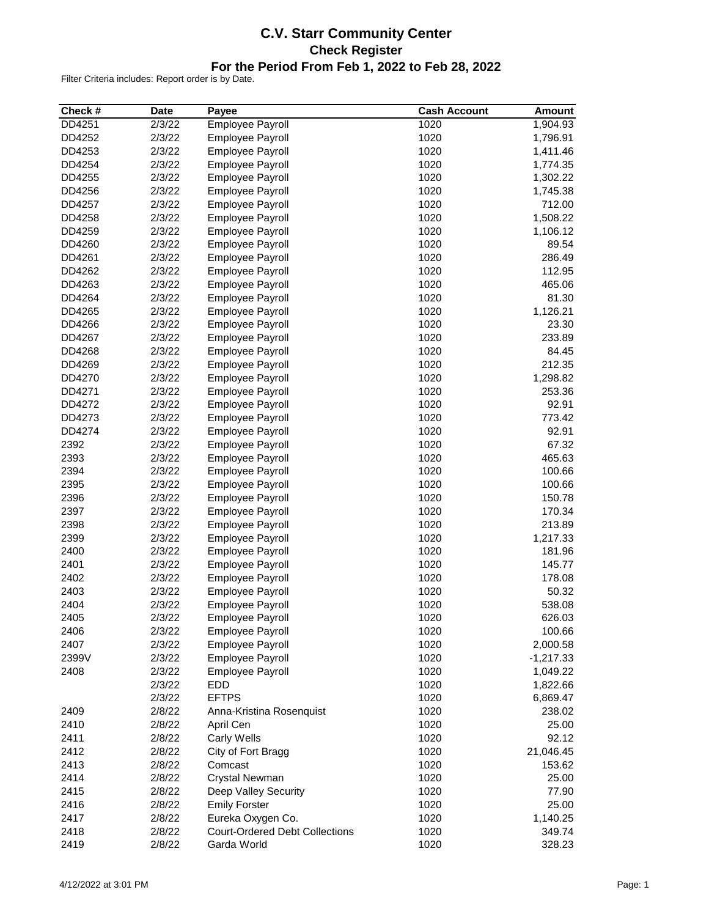# **C.V. Starr Community Center Check Register For the Period From Feb 1, 2022 to Feb 28, 2022**

| $\sqrt{2/3}/22$<br>Employee Payroll<br>DD4251<br>1020<br>1,904.93<br>DD4252<br>2/3/22<br>1020<br>1,796.91<br>Employee Payroll<br>DD4253<br>2/3/22<br>Employee Payroll<br>1020<br>1,411.46<br>2/3/22<br>1020<br>DD4254<br><b>Employee Payroll</b><br>1,774.35<br>2/3/22<br>1020<br>1,302.22<br>DD4255<br>Employee Payroll<br>1020<br>DD4256<br>2/3/22<br>Employee Payroll<br>1,745.38<br>2/3/22<br>1020<br>712.00<br>DD4257<br>Employee Payroll<br>1020<br>DD4258<br>2/3/22<br>1,508.22<br>Employee Payroll<br>DD4259<br>2/3/22<br>1020<br>1,106.12<br>Employee Payroll<br>DD4260<br>2/3/22<br>1020<br>89.54<br>Employee Payroll<br>2/3/22<br>1020<br>286.49<br>DD4261<br>Employee Payroll<br>2/3/22<br>1020<br>DD4262<br>Employee Payroll<br>112.95<br>2/3/22<br>1020<br>465.06<br>DD4263<br>Employee Payroll<br>2/3/22<br>1020<br>81.30<br>DD4264<br><b>Employee Payroll</b><br>2/3/22<br>1020<br>1,126.21<br>DD4265<br>Employee Payroll<br>2/3/22<br>1020<br>23.30<br>DD4266<br>Employee Payroll<br>2/3/22<br>1020<br>233.89<br>DD4267<br>Employee Payroll<br>2/3/22<br>1020<br>84.45<br>DD4268<br>Employee Payroll<br>2/3/22<br>1020<br>212.35<br>DD4269<br>Employee Payroll<br>DD4270<br>2/3/22<br>Employee Payroll<br>1020<br>1,298.82<br>1020<br>DD4271<br>2/3/22<br>253.36<br>Employee Payroll<br>2/3/22<br>1020<br>92.91<br>DD4272<br>Employee Payroll<br>2/3/22<br>1020<br>773.42<br>DD4273<br><b>Employee Payroll</b><br>2/3/22<br>1020<br>92.91<br>DD4274<br>Employee Payroll<br>2392<br>2/3/22<br>1020<br>67.32<br>Employee Payroll<br>2393<br>2/3/22<br>1020<br>465.63<br>Employee Payroll<br>2394<br>2/3/22<br>1020<br>100.66<br>Employee Payroll<br>2395<br>2/3/22<br>Employee Payroll<br>1020<br>100.66<br>2396<br>2/3/22<br>1020<br>150.78<br>Employee Payroll<br>2397<br>2/3/22<br>1020<br>170.34<br>Employee Payroll<br>1020<br>2398<br>2/3/22<br>213.89<br>Employee Payroll<br>2399<br>2/3/22<br>Employee Payroll<br>1020<br>1,217.33<br>2400<br>2/3/22<br>1020<br>181.96<br>Employee Payroll<br>2401<br>2/3/22<br>1020<br>145.77<br><b>Employee Payroll</b><br>2402<br>2/3/22<br>1020<br>178.08<br><b>Employee Payroll</b><br>2403<br>2/3/22<br>1020<br>Employee Payroll<br>50.32<br>2404<br>2/3/22<br>1020<br>538.08<br>Employee Payroll<br>2405<br>2/3/22<br>1020<br>626.03<br><b>Employee Payroll</b><br>2406<br>2/3/22<br>Employee Payroll<br>1020<br>100.66<br>2407<br>2/3/22<br>Employee Payroll<br>1020<br>2,000.58<br>2/3/22<br>Employee Payroll<br>1020<br>2399V<br>$-1,217.33$<br>Employee Payroll<br>1020<br>2408<br>2/3/22<br>1,049.22<br><b>EDD</b><br>1020<br>2/3/22<br>1,822.66<br>2/3/22<br><b>EFTPS</b><br>1020<br>6,869.47<br>2/8/22<br>1020<br>238.02<br>2409<br>Anna-Kristina Rosenquist<br>2410<br>2/8/22<br>1020<br>25.00<br>April Cen<br>2411<br>1020<br>92.12<br>2/8/22<br>Carly Wells<br>2412<br>1020<br>2/8/22<br>City of Fort Bragg<br>21,046.45<br>2413<br>2/8/22<br>1020<br>Comcast<br>153.62<br>2414<br>2/8/22<br>1020<br>25.00<br>Crystal Newman<br>2415<br>1020<br>2/8/22<br>Deep Valley Security<br>77.90<br>2416<br>2/8/22<br>1020<br><b>Emily Forster</b><br>25.00<br>2417<br>2/8/22<br>Eureka Oxygen Co.<br>1020<br>1,140.25<br><b>Court-Ordered Debt Collections</b><br>2418<br>2/8/22<br>1020<br>349.74 | Check # | <b>Date</b> | Payee       | <b>Cash Account</b> | <b>Amount</b> |
|--------------------------------------------------------------------------------------------------------------------------------------------------------------------------------------------------------------------------------------------------------------------------------------------------------------------------------------------------------------------------------------------------------------------------------------------------------------------------------------------------------------------------------------------------------------------------------------------------------------------------------------------------------------------------------------------------------------------------------------------------------------------------------------------------------------------------------------------------------------------------------------------------------------------------------------------------------------------------------------------------------------------------------------------------------------------------------------------------------------------------------------------------------------------------------------------------------------------------------------------------------------------------------------------------------------------------------------------------------------------------------------------------------------------------------------------------------------------------------------------------------------------------------------------------------------------------------------------------------------------------------------------------------------------------------------------------------------------------------------------------------------------------------------------------------------------------------------------------------------------------------------------------------------------------------------------------------------------------------------------------------------------------------------------------------------------------------------------------------------------------------------------------------------------------------------------------------------------------------------------------------------------------------------------------------------------------------------------------------------------------------------------------------------------------------------------------------------------------------------------------------------------------------------------------------------------------------------------------------------------------------------------------------------------------------------------------------------------------------------------------------------------------------------------------------------------------------------------------------------------------------------------------------------------------------------------------------------------------------------------------------------------------------------------------------------------------------------------------------------------------------------------------------------------------------------------------------------------------------------------------------------------|---------|-------------|-------------|---------------------|---------------|
|                                                                                                                                                                                                                                                                                                                                                                                                                                                                                                                                                                                                                                                                                                                                                                                                                                                                                                                                                                                                                                                                                                                                                                                                                                                                                                                                                                                                                                                                                                                                                                                                                                                                                                                                                                                                                                                                                                                                                                                                                                                                                                                                                                                                                                                                                                                                                                                                                                                                                                                                                                                                                                                                                                                                                                                                                                                                                                                                                                                                                                                                                                                                                                                                                                                                    |         |             |             |                     |               |
|                                                                                                                                                                                                                                                                                                                                                                                                                                                                                                                                                                                                                                                                                                                                                                                                                                                                                                                                                                                                                                                                                                                                                                                                                                                                                                                                                                                                                                                                                                                                                                                                                                                                                                                                                                                                                                                                                                                                                                                                                                                                                                                                                                                                                                                                                                                                                                                                                                                                                                                                                                                                                                                                                                                                                                                                                                                                                                                                                                                                                                                                                                                                                                                                                                                                    |         |             |             |                     |               |
|                                                                                                                                                                                                                                                                                                                                                                                                                                                                                                                                                                                                                                                                                                                                                                                                                                                                                                                                                                                                                                                                                                                                                                                                                                                                                                                                                                                                                                                                                                                                                                                                                                                                                                                                                                                                                                                                                                                                                                                                                                                                                                                                                                                                                                                                                                                                                                                                                                                                                                                                                                                                                                                                                                                                                                                                                                                                                                                                                                                                                                                                                                                                                                                                                                                                    |         |             |             |                     |               |
|                                                                                                                                                                                                                                                                                                                                                                                                                                                                                                                                                                                                                                                                                                                                                                                                                                                                                                                                                                                                                                                                                                                                                                                                                                                                                                                                                                                                                                                                                                                                                                                                                                                                                                                                                                                                                                                                                                                                                                                                                                                                                                                                                                                                                                                                                                                                                                                                                                                                                                                                                                                                                                                                                                                                                                                                                                                                                                                                                                                                                                                                                                                                                                                                                                                                    |         |             |             |                     |               |
|                                                                                                                                                                                                                                                                                                                                                                                                                                                                                                                                                                                                                                                                                                                                                                                                                                                                                                                                                                                                                                                                                                                                                                                                                                                                                                                                                                                                                                                                                                                                                                                                                                                                                                                                                                                                                                                                                                                                                                                                                                                                                                                                                                                                                                                                                                                                                                                                                                                                                                                                                                                                                                                                                                                                                                                                                                                                                                                                                                                                                                                                                                                                                                                                                                                                    |         |             |             |                     |               |
|                                                                                                                                                                                                                                                                                                                                                                                                                                                                                                                                                                                                                                                                                                                                                                                                                                                                                                                                                                                                                                                                                                                                                                                                                                                                                                                                                                                                                                                                                                                                                                                                                                                                                                                                                                                                                                                                                                                                                                                                                                                                                                                                                                                                                                                                                                                                                                                                                                                                                                                                                                                                                                                                                                                                                                                                                                                                                                                                                                                                                                                                                                                                                                                                                                                                    |         |             |             |                     |               |
|                                                                                                                                                                                                                                                                                                                                                                                                                                                                                                                                                                                                                                                                                                                                                                                                                                                                                                                                                                                                                                                                                                                                                                                                                                                                                                                                                                                                                                                                                                                                                                                                                                                                                                                                                                                                                                                                                                                                                                                                                                                                                                                                                                                                                                                                                                                                                                                                                                                                                                                                                                                                                                                                                                                                                                                                                                                                                                                                                                                                                                                                                                                                                                                                                                                                    |         |             |             |                     |               |
|                                                                                                                                                                                                                                                                                                                                                                                                                                                                                                                                                                                                                                                                                                                                                                                                                                                                                                                                                                                                                                                                                                                                                                                                                                                                                                                                                                                                                                                                                                                                                                                                                                                                                                                                                                                                                                                                                                                                                                                                                                                                                                                                                                                                                                                                                                                                                                                                                                                                                                                                                                                                                                                                                                                                                                                                                                                                                                                                                                                                                                                                                                                                                                                                                                                                    |         |             |             |                     |               |
|                                                                                                                                                                                                                                                                                                                                                                                                                                                                                                                                                                                                                                                                                                                                                                                                                                                                                                                                                                                                                                                                                                                                                                                                                                                                                                                                                                                                                                                                                                                                                                                                                                                                                                                                                                                                                                                                                                                                                                                                                                                                                                                                                                                                                                                                                                                                                                                                                                                                                                                                                                                                                                                                                                                                                                                                                                                                                                                                                                                                                                                                                                                                                                                                                                                                    |         |             |             |                     |               |
|                                                                                                                                                                                                                                                                                                                                                                                                                                                                                                                                                                                                                                                                                                                                                                                                                                                                                                                                                                                                                                                                                                                                                                                                                                                                                                                                                                                                                                                                                                                                                                                                                                                                                                                                                                                                                                                                                                                                                                                                                                                                                                                                                                                                                                                                                                                                                                                                                                                                                                                                                                                                                                                                                                                                                                                                                                                                                                                                                                                                                                                                                                                                                                                                                                                                    |         |             |             |                     |               |
|                                                                                                                                                                                                                                                                                                                                                                                                                                                                                                                                                                                                                                                                                                                                                                                                                                                                                                                                                                                                                                                                                                                                                                                                                                                                                                                                                                                                                                                                                                                                                                                                                                                                                                                                                                                                                                                                                                                                                                                                                                                                                                                                                                                                                                                                                                                                                                                                                                                                                                                                                                                                                                                                                                                                                                                                                                                                                                                                                                                                                                                                                                                                                                                                                                                                    |         |             |             |                     |               |
|                                                                                                                                                                                                                                                                                                                                                                                                                                                                                                                                                                                                                                                                                                                                                                                                                                                                                                                                                                                                                                                                                                                                                                                                                                                                                                                                                                                                                                                                                                                                                                                                                                                                                                                                                                                                                                                                                                                                                                                                                                                                                                                                                                                                                                                                                                                                                                                                                                                                                                                                                                                                                                                                                                                                                                                                                                                                                                                                                                                                                                                                                                                                                                                                                                                                    |         |             |             |                     |               |
|                                                                                                                                                                                                                                                                                                                                                                                                                                                                                                                                                                                                                                                                                                                                                                                                                                                                                                                                                                                                                                                                                                                                                                                                                                                                                                                                                                                                                                                                                                                                                                                                                                                                                                                                                                                                                                                                                                                                                                                                                                                                                                                                                                                                                                                                                                                                                                                                                                                                                                                                                                                                                                                                                                                                                                                                                                                                                                                                                                                                                                                                                                                                                                                                                                                                    |         |             |             |                     |               |
|                                                                                                                                                                                                                                                                                                                                                                                                                                                                                                                                                                                                                                                                                                                                                                                                                                                                                                                                                                                                                                                                                                                                                                                                                                                                                                                                                                                                                                                                                                                                                                                                                                                                                                                                                                                                                                                                                                                                                                                                                                                                                                                                                                                                                                                                                                                                                                                                                                                                                                                                                                                                                                                                                                                                                                                                                                                                                                                                                                                                                                                                                                                                                                                                                                                                    |         |             |             |                     |               |
|                                                                                                                                                                                                                                                                                                                                                                                                                                                                                                                                                                                                                                                                                                                                                                                                                                                                                                                                                                                                                                                                                                                                                                                                                                                                                                                                                                                                                                                                                                                                                                                                                                                                                                                                                                                                                                                                                                                                                                                                                                                                                                                                                                                                                                                                                                                                                                                                                                                                                                                                                                                                                                                                                                                                                                                                                                                                                                                                                                                                                                                                                                                                                                                                                                                                    |         |             |             |                     |               |
|                                                                                                                                                                                                                                                                                                                                                                                                                                                                                                                                                                                                                                                                                                                                                                                                                                                                                                                                                                                                                                                                                                                                                                                                                                                                                                                                                                                                                                                                                                                                                                                                                                                                                                                                                                                                                                                                                                                                                                                                                                                                                                                                                                                                                                                                                                                                                                                                                                                                                                                                                                                                                                                                                                                                                                                                                                                                                                                                                                                                                                                                                                                                                                                                                                                                    |         |             |             |                     |               |
|                                                                                                                                                                                                                                                                                                                                                                                                                                                                                                                                                                                                                                                                                                                                                                                                                                                                                                                                                                                                                                                                                                                                                                                                                                                                                                                                                                                                                                                                                                                                                                                                                                                                                                                                                                                                                                                                                                                                                                                                                                                                                                                                                                                                                                                                                                                                                                                                                                                                                                                                                                                                                                                                                                                                                                                                                                                                                                                                                                                                                                                                                                                                                                                                                                                                    |         |             |             |                     |               |
|                                                                                                                                                                                                                                                                                                                                                                                                                                                                                                                                                                                                                                                                                                                                                                                                                                                                                                                                                                                                                                                                                                                                                                                                                                                                                                                                                                                                                                                                                                                                                                                                                                                                                                                                                                                                                                                                                                                                                                                                                                                                                                                                                                                                                                                                                                                                                                                                                                                                                                                                                                                                                                                                                                                                                                                                                                                                                                                                                                                                                                                                                                                                                                                                                                                                    |         |             |             |                     |               |
|                                                                                                                                                                                                                                                                                                                                                                                                                                                                                                                                                                                                                                                                                                                                                                                                                                                                                                                                                                                                                                                                                                                                                                                                                                                                                                                                                                                                                                                                                                                                                                                                                                                                                                                                                                                                                                                                                                                                                                                                                                                                                                                                                                                                                                                                                                                                                                                                                                                                                                                                                                                                                                                                                                                                                                                                                                                                                                                                                                                                                                                                                                                                                                                                                                                                    |         |             |             |                     |               |
|                                                                                                                                                                                                                                                                                                                                                                                                                                                                                                                                                                                                                                                                                                                                                                                                                                                                                                                                                                                                                                                                                                                                                                                                                                                                                                                                                                                                                                                                                                                                                                                                                                                                                                                                                                                                                                                                                                                                                                                                                                                                                                                                                                                                                                                                                                                                                                                                                                                                                                                                                                                                                                                                                                                                                                                                                                                                                                                                                                                                                                                                                                                                                                                                                                                                    |         |             |             |                     |               |
|                                                                                                                                                                                                                                                                                                                                                                                                                                                                                                                                                                                                                                                                                                                                                                                                                                                                                                                                                                                                                                                                                                                                                                                                                                                                                                                                                                                                                                                                                                                                                                                                                                                                                                                                                                                                                                                                                                                                                                                                                                                                                                                                                                                                                                                                                                                                                                                                                                                                                                                                                                                                                                                                                                                                                                                                                                                                                                                                                                                                                                                                                                                                                                                                                                                                    |         |             |             |                     |               |
|                                                                                                                                                                                                                                                                                                                                                                                                                                                                                                                                                                                                                                                                                                                                                                                                                                                                                                                                                                                                                                                                                                                                                                                                                                                                                                                                                                                                                                                                                                                                                                                                                                                                                                                                                                                                                                                                                                                                                                                                                                                                                                                                                                                                                                                                                                                                                                                                                                                                                                                                                                                                                                                                                                                                                                                                                                                                                                                                                                                                                                                                                                                                                                                                                                                                    |         |             |             |                     |               |
|                                                                                                                                                                                                                                                                                                                                                                                                                                                                                                                                                                                                                                                                                                                                                                                                                                                                                                                                                                                                                                                                                                                                                                                                                                                                                                                                                                                                                                                                                                                                                                                                                                                                                                                                                                                                                                                                                                                                                                                                                                                                                                                                                                                                                                                                                                                                                                                                                                                                                                                                                                                                                                                                                                                                                                                                                                                                                                                                                                                                                                                                                                                                                                                                                                                                    |         |             |             |                     |               |
|                                                                                                                                                                                                                                                                                                                                                                                                                                                                                                                                                                                                                                                                                                                                                                                                                                                                                                                                                                                                                                                                                                                                                                                                                                                                                                                                                                                                                                                                                                                                                                                                                                                                                                                                                                                                                                                                                                                                                                                                                                                                                                                                                                                                                                                                                                                                                                                                                                                                                                                                                                                                                                                                                                                                                                                                                                                                                                                                                                                                                                                                                                                                                                                                                                                                    |         |             |             |                     |               |
|                                                                                                                                                                                                                                                                                                                                                                                                                                                                                                                                                                                                                                                                                                                                                                                                                                                                                                                                                                                                                                                                                                                                                                                                                                                                                                                                                                                                                                                                                                                                                                                                                                                                                                                                                                                                                                                                                                                                                                                                                                                                                                                                                                                                                                                                                                                                                                                                                                                                                                                                                                                                                                                                                                                                                                                                                                                                                                                                                                                                                                                                                                                                                                                                                                                                    |         |             |             |                     |               |
|                                                                                                                                                                                                                                                                                                                                                                                                                                                                                                                                                                                                                                                                                                                                                                                                                                                                                                                                                                                                                                                                                                                                                                                                                                                                                                                                                                                                                                                                                                                                                                                                                                                                                                                                                                                                                                                                                                                                                                                                                                                                                                                                                                                                                                                                                                                                                                                                                                                                                                                                                                                                                                                                                                                                                                                                                                                                                                                                                                                                                                                                                                                                                                                                                                                                    |         |             |             |                     |               |
|                                                                                                                                                                                                                                                                                                                                                                                                                                                                                                                                                                                                                                                                                                                                                                                                                                                                                                                                                                                                                                                                                                                                                                                                                                                                                                                                                                                                                                                                                                                                                                                                                                                                                                                                                                                                                                                                                                                                                                                                                                                                                                                                                                                                                                                                                                                                                                                                                                                                                                                                                                                                                                                                                                                                                                                                                                                                                                                                                                                                                                                                                                                                                                                                                                                                    |         |             |             |                     |               |
|                                                                                                                                                                                                                                                                                                                                                                                                                                                                                                                                                                                                                                                                                                                                                                                                                                                                                                                                                                                                                                                                                                                                                                                                                                                                                                                                                                                                                                                                                                                                                                                                                                                                                                                                                                                                                                                                                                                                                                                                                                                                                                                                                                                                                                                                                                                                                                                                                                                                                                                                                                                                                                                                                                                                                                                                                                                                                                                                                                                                                                                                                                                                                                                                                                                                    |         |             |             |                     |               |
|                                                                                                                                                                                                                                                                                                                                                                                                                                                                                                                                                                                                                                                                                                                                                                                                                                                                                                                                                                                                                                                                                                                                                                                                                                                                                                                                                                                                                                                                                                                                                                                                                                                                                                                                                                                                                                                                                                                                                                                                                                                                                                                                                                                                                                                                                                                                                                                                                                                                                                                                                                                                                                                                                                                                                                                                                                                                                                                                                                                                                                                                                                                                                                                                                                                                    |         |             |             |                     |               |
|                                                                                                                                                                                                                                                                                                                                                                                                                                                                                                                                                                                                                                                                                                                                                                                                                                                                                                                                                                                                                                                                                                                                                                                                                                                                                                                                                                                                                                                                                                                                                                                                                                                                                                                                                                                                                                                                                                                                                                                                                                                                                                                                                                                                                                                                                                                                                                                                                                                                                                                                                                                                                                                                                                                                                                                                                                                                                                                                                                                                                                                                                                                                                                                                                                                                    |         |             |             |                     |               |
|                                                                                                                                                                                                                                                                                                                                                                                                                                                                                                                                                                                                                                                                                                                                                                                                                                                                                                                                                                                                                                                                                                                                                                                                                                                                                                                                                                                                                                                                                                                                                                                                                                                                                                                                                                                                                                                                                                                                                                                                                                                                                                                                                                                                                                                                                                                                                                                                                                                                                                                                                                                                                                                                                                                                                                                                                                                                                                                                                                                                                                                                                                                                                                                                                                                                    |         |             |             |                     |               |
|                                                                                                                                                                                                                                                                                                                                                                                                                                                                                                                                                                                                                                                                                                                                                                                                                                                                                                                                                                                                                                                                                                                                                                                                                                                                                                                                                                                                                                                                                                                                                                                                                                                                                                                                                                                                                                                                                                                                                                                                                                                                                                                                                                                                                                                                                                                                                                                                                                                                                                                                                                                                                                                                                                                                                                                                                                                                                                                                                                                                                                                                                                                                                                                                                                                                    |         |             |             |                     |               |
|                                                                                                                                                                                                                                                                                                                                                                                                                                                                                                                                                                                                                                                                                                                                                                                                                                                                                                                                                                                                                                                                                                                                                                                                                                                                                                                                                                                                                                                                                                                                                                                                                                                                                                                                                                                                                                                                                                                                                                                                                                                                                                                                                                                                                                                                                                                                                                                                                                                                                                                                                                                                                                                                                                                                                                                                                                                                                                                                                                                                                                                                                                                                                                                                                                                                    |         |             |             |                     |               |
|                                                                                                                                                                                                                                                                                                                                                                                                                                                                                                                                                                                                                                                                                                                                                                                                                                                                                                                                                                                                                                                                                                                                                                                                                                                                                                                                                                                                                                                                                                                                                                                                                                                                                                                                                                                                                                                                                                                                                                                                                                                                                                                                                                                                                                                                                                                                                                                                                                                                                                                                                                                                                                                                                                                                                                                                                                                                                                                                                                                                                                                                                                                                                                                                                                                                    |         |             |             |                     |               |
|                                                                                                                                                                                                                                                                                                                                                                                                                                                                                                                                                                                                                                                                                                                                                                                                                                                                                                                                                                                                                                                                                                                                                                                                                                                                                                                                                                                                                                                                                                                                                                                                                                                                                                                                                                                                                                                                                                                                                                                                                                                                                                                                                                                                                                                                                                                                                                                                                                                                                                                                                                                                                                                                                                                                                                                                                                                                                                                                                                                                                                                                                                                                                                                                                                                                    |         |             |             |                     |               |
|                                                                                                                                                                                                                                                                                                                                                                                                                                                                                                                                                                                                                                                                                                                                                                                                                                                                                                                                                                                                                                                                                                                                                                                                                                                                                                                                                                                                                                                                                                                                                                                                                                                                                                                                                                                                                                                                                                                                                                                                                                                                                                                                                                                                                                                                                                                                                                                                                                                                                                                                                                                                                                                                                                                                                                                                                                                                                                                                                                                                                                                                                                                                                                                                                                                                    |         |             |             |                     |               |
|                                                                                                                                                                                                                                                                                                                                                                                                                                                                                                                                                                                                                                                                                                                                                                                                                                                                                                                                                                                                                                                                                                                                                                                                                                                                                                                                                                                                                                                                                                                                                                                                                                                                                                                                                                                                                                                                                                                                                                                                                                                                                                                                                                                                                                                                                                                                                                                                                                                                                                                                                                                                                                                                                                                                                                                                                                                                                                                                                                                                                                                                                                                                                                                                                                                                    |         |             |             |                     |               |
|                                                                                                                                                                                                                                                                                                                                                                                                                                                                                                                                                                                                                                                                                                                                                                                                                                                                                                                                                                                                                                                                                                                                                                                                                                                                                                                                                                                                                                                                                                                                                                                                                                                                                                                                                                                                                                                                                                                                                                                                                                                                                                                                                                                                                                                                                                                                                                                                                                                                                                                                                                                                                                                                                                                                                                                                                                                                                                                                                                                                                                                                                                                                                                                                                                                                    |         |             |             |                     |               |
|                                                                                                                                                                                                                                                                                                                                                                                                                                                                                                                                                                                                                                                                                                                                                                                                                                                                                                                                                                                                                                                                                                                                                                                                                                                                                                                                                                                                                                                                                                                                                                                                                                                                                                                                                                                                                                                                                                                                                                                                                                                                                                                                                                                                                                                                                                                                                                                                                                                                                                                                                                                                                                                                                                                                                                                                                                                                                                                                                                                                                                                                                                                                                                                                                                                                    |         |             |             |                     |               |
|                                                                                                                                                                                                                                                                                                                                                                                                                                                                                                                                                                                                                                                                                                                                                                                                                                                                                                                                                                                                                                                                                                                                                                                                                                                                                                                                                                                                                                                                                                                                                                                                                                                                                                                                                                                                                                                                                                                                                                                                                                                                                                                                                                                                                                                                                                                                                                                                                                                                                                                                                                                                                                                                                                                                                                                                                                                                                                                                                                                                                                                                                                                                                                                                                                                                    |         |             |             |                     |               |
|                                                                                                                                                                                                                                                                                                                                                                                                                                                                                                                                                                                                                                                                                                                                                                                                                                                                                                                                                                                                                                                                                                                                                                                                                                                                                                                                                                                                                                                                                                                                                                                                                                                                                                                                                                                                                                                                                                                                                                                                                                                                                                                                                                                                                                                                                                                                                                                                                                                                                                                                                                                                                                                                                                                                                                                                                                                                                                                                                                                                                                                                                                                                                                                                                                                                    |         |             |             |                     |               |
|                                                                                                                                                                                                                                                                                                                                                                                                                                                                                                                                                                                                                                                                                                                                                                                                                                                                                                                                                                                                                                                                                                                                                                                                                                                                                                                                                                                                                                                                                                                                                                                                                                                                                                                                                                                                                                                                                                                                                                                                                                                                                                                                                                                                                                                                                                                                                                                                                                                                                                                                                                                                                                                                                                                                                                                                                                                                                                                                                                                                                                                                                                                                                                                                                                                                    |         |             |             |                     |               |
|                                                                                                                                                                                                                                                                                                                                                                                                                                                                                                                                                                                                                                                                                                                                                                                                                                                                                                                                                                                                                                                                                                                                                                                                                                                                                                                                                                                                                                                                                                                                                                                                                                                                                                                                                                                                                                                                                                                                                                                                                                                                                                                                                                                                                                                                                                                                                                                                                                                                                                                                                                                                                                                                                                                                                                                                                                                                                                                                                                                                                                                                                                                                                                                                                                                                    |         |             |             |                     |               |
|                                                                                                                                                                                                                                                                                                                                                                                                                                                                                                                                                                                                                                                                                                                                                                                                                                                                                                                                                                                                                                                                                                                                                                                                                                                                                                                                                                                                                                                                                                                                                                                                                                                                                                                                                                                                                                                                                                                                                                                                                                                                                                                                                                                                                                                                                                                                                                                                                                                                                                                                                                                                                                                                                                                                                                                                                                                                                                                                                                                                                                                                                                                                                                                                                                                                    |         |             |             |                     |               |
|                                                                                                                                                                                                                                                                                                                                                                                                                                                                                                                                                                                                                                                                                                                                                                                                                                                                                                                                                                                                                                                                                                                                                                                                                                                                                                                                                                                                                                                                                                                                                                                                                                                                                                                                                                                                                                                                                                                                                                                                                                                                                                                                                                                                                                                                                                                                                                                                                                                                                                                                                                                                                                                                                                                                                                                                                                                                                                                                                                                                                                                                                                                                                                                                                                                                    |         |             |             |                     |               |
|                                                                                                                                                                                                                                                                                                                                                                                                                                                                                                                                                                                                                                                                                                                                                                                                                                                                                                                                                                                                                                                                                                                                                                                                                                                                                                                                                                                                                                                                                                                                                                                                                                                                                                                                                                                                                                                                                                                                                                                                                                                                                                                                                                                                                                                                                                                                                                                                                                                                                                                                                                                                                                                                                                                                                                                                                                                                                                                                                                                                                                                                                                                                                                                                                                                                    |         |             |             |                     |               |
|                                                                                                                                                                                                                                                                                                                                                                                                                                                                                                                                                                                                                                                                                                                                                                                                                                                                                                                                                                                                                                                                                                                                                                                                                                                                                                                                                                                                                                                                                                                                                                                                                                                                                                                                                                                                                                                                                                                                                                                                                                                                                                                                                                                                                                                                                                                                                                                                                                                                                                                                                                                                                                                                                                                                                                                                                                                                                                                                                                                                                                                                                                                                                                                                                                                                    |         |             |             |                     |               |
|                                                                                                                                                                                                                                                                                                                                                                                                                                                                                                                                                                                                                                                                                                                                                                                                                                                                                                                                                                                                                                                                                                                                                                                                                                                                                                                                                                                                                                                                                                                                                                                                                                                                                                                                                                                                                                                                                                                                                                                                                                                                                                                                                                                                                                                                                                                                                                                                                                                                                                                                                                                                                                                                                                                                                                                                                                                                                                                                                                                                                                                                                                                                                                                                                                                                    |         |             |             |                     |               |
|                                                                                                                                                                                                                                                                                                                                                                                                                                                                                                                                                                                                                                                                                                                                                                                                                                                                                                                                                                                                                                                                                                                                                                                                                                                                                                                                                                                                                                                                                                                                                                                                                                                                                                                                                                                                                                                                                                                                                                                                                                                                                                                                                                                                                                                                                                                                                                                                                                                                                                                                                                                                                                                                                                                                                                                                                                                                                                                                                                                                                                                                                                                                                                                                                                                                    |         |             |             |                     |               |
|                                                                                                                                                                                                                                                                                                                                                                                                                                                                                                                                                                                                                                                                                                                                                                                                                                                                                                                                                                                                                                                                                                                                                                                                                                                                                                                                                                                                                                                                                                                                                                                                                                                                                                                                                                                                                                                                                                                                                                                                                                                                                                                                                                                                                                                                                                                                                                                                                                                                                                                                                                                                                                                                                                                                                                                                                                                                                                                                                                                                                                                                                                                                                                                                                                                                    |         |             |             |                     |               |
|                                                                                                                                                                                                                                                                                                                                                                                                                                                                                                                                                                                                                                                                                                                                                                                                                                                                                                                                                                                                                                                                                                                                                                                                                                                                                                                                                                                                                                                                                                                                                                                                                                                                                                                                                                                                                                                                                                                                                                                                                                                                                                                                                                                                                                                                                                                                                                                                                                                                                                                                                                                                                                                                                                                                                                                                                                                                                                                                                                                                                                                                                                                                                                                                                                                                    |         |             |             |                     |               |
|                                                                                                                                                                                                                                                                                                                                                                                                                                                                                                                                                                                                                                                                                                                                                                                                                                                                                                                                                                                                                                                                                                                                                                                                                                                                                                                                                                                                                                                                                                                                                                                                                                                                                                                                                                                                                                                                                                                                                                                                                                                                                                                                                                                                                                                                                                                                                                                                                                                                                                                                                                                                                                                                                                                                                                                                                                                                                                                                                                                                                                                                                                                                                                                                                                                                    |         |             |             |                     |               |
|                                                                                                                                                                                                                                                                                                                                                                                                                                                                                                                                                                                                                                                                                                                                                                                                                                                                                                                                                                                                                                                                                                                                                                                                                                                                                                                                                                                                                                                                                                                                                                                                                                                                                                                                                                                                                                                                                                                                                                                                                                                                                                                                                                                                                                                                                                                                                                                                                                                                                                                                                                                                                                                                                                                                                                                                                                                                                                                                                                                                                                                                                                                                                                                                                                                                    |         |             |             |                     |               |
|                                                                                                                                                                                                                                                                                                                                                                                                                                                                                                                                                                                                                                                                                                                                                                                                                                                                                                                                                                                                                                                                                                                                                                                                                                                                                                                                                                                                                                                                                                                                                                                                                                                                                                                                                                                                                                                                                                                                                                                                                                                                                                                                                                                                                                                                                                                                                                                                                                                                                                                                                                                                                                                                                                                                                                                                                                                                                                                                                                                                                                                                                                                                                                                                                                                                    |         |             |             |                     |               |
|                                                                                                                                                                                                                                                                                                                                                                                                                                                                                                                                                                                                                                                                                                                                                                                                                                                                                                                                                                                                                                                                                                                                                                                                                                                                                                                                                                                                                                                                                                                                                                                                                                                                                                                                                                                                                                                                                                                                                                                                                                                                                                                                                                                                                                                                                                                                                                                                                                                                                                                                                                                                                                                                                                                                                                                                                                                                                                                                                                                                                                                                                                                                                                                                                                                                    | 2419    | 2/8/22      | Garda World | 1020                | 328.23        |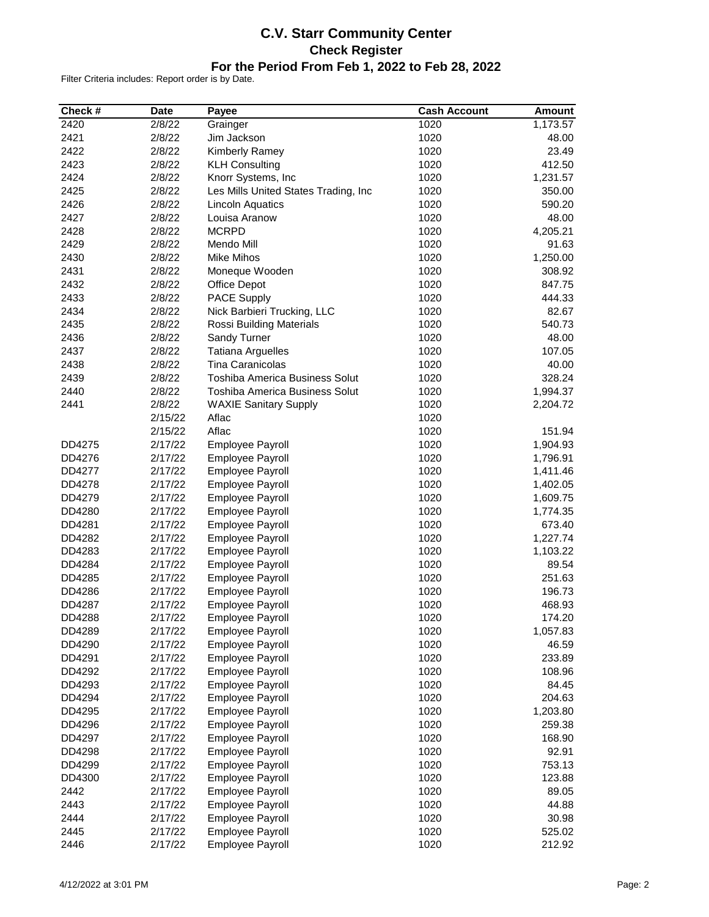# **C.V. Starr Community Center Check Register For the Period From Feb 1, 2022 to Feb 28, 2022**

| Check #          | <b>Date</b>        | Payee                                 | <b>Cash Account</b> | <b>Amount</b> |
|------------------|--------------------|---------------------------------------|---------------------|---------------|
| 2420             | 2/8/22             | Grainger                              | 1020                | 1,173.57      |
| 2421             | 2/8/22             | Jim Jackson                           | 1020                | 48.00         |
| 2422             | 2/8/22             | Kimberly Ramey                        | 1020                | 23.49         |
| 2423             | 2/8/22             | <b>KLH Consulting</b>                 | 1020                | 412.50        |
| 2424             | 2/8/22             | Knorr Systems, Inc                    | 1020                | 1,231.57      |
| 2425             | 2/8/22             | Les Mills United States Trading, Inc  | 1020                | 350.00        |
| 2426             | 2/8/22             | <b>Lincoln Aquatics</b>               | 1020                | 590.20        |
| 2427             | 2/8/22             | Louisa Aranow                         | 1020                | 48.00         |
| 2428             | 2/8/22             | <b>MCRPD</b>                          | 1020                | 4,205.21      |
| 2429             | 2/8/22             | Mendo Mill                            | 1020                | 91.63         |
| 2430             | 2/8/22             | <b>Mike Mihos</b>                     | 1020                | 1,250.00      |
| 2431             | 2/8/22             | Moneque Wooden                        | 1020                | 308.92        |
| 2432             | 2/8/22             | Office Depot                          | 1020                | 847.75        |
| 2433             | 2/8/22             | PACE Supply                           | 1020                | 444.33        |
| 2434             | 2/8/22             | Nick Barbieri Trucking, LLC           | 1020                | 82.67         |
| 2435             | 2/8/22             | Rossi Building Materials              | 1020                | 540.73        |
| 2436             | 2/8/22             | Sandy Turner                          | 1020                | 48.00         |
| 2437             | 2/8/22             | <b>Tatiana Arguelles</b>              | 1020                | 107.05        |
| 2438             | 2/8/22             | <b>Tina Caranicolas</b>               | 1020                | 40.00         |
| 2439             | 2/8/22             | Toshiba America Business Solut        | 1020                | 328.24        |
| 2440             | 2/8/22             | <b>Toshiba America Business Solut</b> | 1020                | 1,994.37      |
| 2441             | 2/8/22             | <b>WAXIE Sanitary Supply</b>          | 1020                | 2,204.72      |
|                  | 2/15/22            | Aflac                                 | 1020                |               |
|                  | 2/15/22            | Aflac                                 | 1020                | 151.94        |
| DD4275           | 2/17/22            | Employee Payroll                      | 1020                | 1,904.93      |
| DD4276           | 2/17/22            | Employee Payroll                      | 1020                | 1,796.91      |
| DD4277           | 2/17/22            | Employee Payroll                      | 1020                | 1,411.46      |
| DD4278           | 2/17/22            | Employee Payroll                      | 1020                | 1,402.05      |
| DD4279           | 2/17/22            | Employee Payroll                      | 1020                | 1,609.75      |
| DD4280           | 2/17/22            | Employee Payroll                      | 1020                | 1,774.35      |
| DD4281           | 2/17/22            | Employee Payroll                      | 1020                | 673.40        |
| DD4282           | 2/17/22            | Employee Payroll                      | 1020                | 1,227.74      |
| DD4283           | 2/17/22            | Employee Payroll                      | 1020                | 1,103.22      |
| DD4284           | 2/17/22            | <b>Employee Payroll</b>               | 1020                | 89.54         |
| DD4285           | 2/17/22            | <b>Employee Payroll</b>               | 1020                | 251.63        |
| DD4286           | 2/17/22            | Employee Payroll                      | 1020                | 196.73        |
| DD4287           | 2/17/22            | <b>Employee Payroll</b>               | 1020                | 468.93        |
|                  |                    |                                       |                     |               |
| DD4288           | 2/17/22            | Employee Payroll                      | 1020                | 174.20        |
| DD4289           | 2/17/22<br>2/17/22 | <b>Employee Payroll</b>               | 1020                | 1,057.83      |
| DD4290           |                    | Employee Payroll                      | 1020                | 46.59         |
| DD4291           | 2/17/22            | Employee Payroll                      | 1020                | 233.89        |
| DD4292           | 2/17/22            | Employee Payroll                      | 1020                | 108.96        |
| DD4293<br>DD4294 | 2/17/22            | Employee Payroll                      | 1020                | 84.45         |
|                  | 2/17/22            | <b>Employee Payroll</b>               | 1020                | 204.63        |
| DD4295           | 2/17/22            | Employee Payroll                      | 1020                | 1,203.80      |
| DD4296           | 2/17/22            | Employee Payroll                      | 1020                | 259.38        |
| DD4297           | 2/17/22            | <b>Employee Payroll</b>               | 1020                | 168.90        |
| DD4298           | 2/17/22            | Employee Payroll                      | 1020                | 92.91         |
| DD4299           | 2/17/22            | <b>Employee Payroll</b>               | 1020                | 753.13        |
| DD4300           | 2/17/22            | Employee Payroll                      | 1020                | 123.88        |
| 2442             | 2/17/22            | Employee Payroll                      | 1020                | 89.05         |
| 2443             | 2/17/22            | Employee Payroll                      | 1020                | 44.88         |
| 2444             | 2/17/22            | Employee Payroll                      | 1020                | 30.98         |
| 2445             | 2/17/22            | Employee Payroll                      | 1020                | 525.02        |
| 2446             | 2/17/22            | Employee Payroll                      | 1020                | 212.92        |